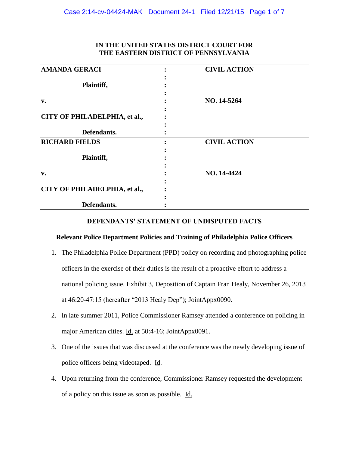| <b>AMANDA GERACI</b>          | <b>CIVIL ACTION</b> |  |
|-------------------------------|---------------------|--|
|                               |                     |  |
| Plaintiff,                    |                     |  |
|                               |                     |  |
| v.                            | NO. 14-5264         |  |
|                               |                     |  |
| CITY OF PHILADELPHIA, et al., |                     |  |
|                               |                     |  |
| Defendants.                   |                     |  |
| <b>RICHARD FIELDS</b>         | <b>CIVIL ACTION</b> |  |
|                               |                     |  |
| Plaintiff,                    |                     |  |
|                               |                     |  |
| v.                            | NO. 14-4424         |  |
|                               |                     |  |
| CITY OF PHILADELPHIA, et al., |                     |  |
|                               |                     |  |
| Defendants.                   |                     |  |

# **IN THE UNITED STATES DISTRICT COURT FOR THE EASTERN DISTRICT OF PENNSYLVANIA**

### **DEFENDANTS' STATEMENT OF UNDISPUTED FACTS**

## **Relevant Police Department Policies and Training of Philadelphia Police Officers**

- 1. The Philadelphia Police Department (PPD) policy on recording and photographing police officers in the exercise of their duties is the result of a proactive effort to address a national policing issue. Exhibit 3, Deposition of Captain Fran Healy, November 26, 2013 at 46:20-47:15 (hereafter "2013 Healy Dep"); JointAppx0090.
- 2. In late summer 2011, Police Commissioner Ramsey attended a conference on policing in major American cities. Id. at 50:4-16; JointAppx0091.
- 3. One of the issues that was discussed at the conference was the newly developing issue of police officers being videotaped. Id.
- 4. Upon returning from the conference, Commissioner Ramsey requested the development of a policy on this issue as soon as possible. Id.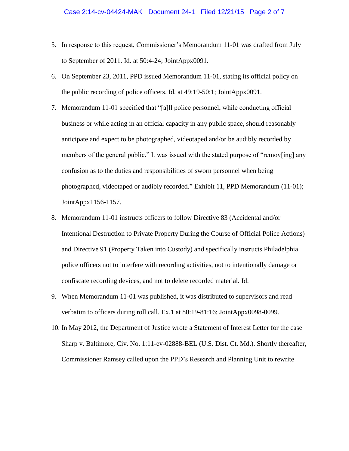### Case 2:14-cv-04424-MAK Document 24-1 Filed 12/21/15 Page 2 of 7

- 5. In response to this request, Commissioner's Memorandum 11-01 was drafted from July to September of 2011. Id. at 50:4-24; JointAppx0091.
- 6. On September 23, 2011, PPD issued Memorandum 11-01, stating its official policy on the public recording of police officers. Id. at 49:19-50:1; JointAppx0091.
- 7. Memorandum 11-01 specified that "[a]ll police personnel, while conducting official business or while acting in an official capacity in any public space, should reasonably anticipate and expect to be photographed, videotaped and/or be audibly recorded by members of the general public." It was issued with the stated purpose of "remov[ing] any confusion as to the duties and responsibilities of sworn personnel when being photographed, videotaped or audibly recorded." Exhibit 11, PPD Memorandum (11-01); JointAppx1156-1157.
- 8. Memorandum 11-01 instructs officers to follow Directive 83 (Accidental and/or Intentional Destruction to Private Property During the Course of Official Police Actions) and Directive 91 (Property Taken into Custody) and specifically instructs Philadelphia police officers not to interfere with recording activities, not to intentionally damage or confiscate recording devices, and not to delete recorded material. Id.
- 9. When Memorandum 11-01 was published, it was distributed to supervisors and read verbatim to officers during roll call. Ex.1 at 80:19-81:16; JointAppx0098-0099.
- 10. In May 2012, the Department of Justice wrote a Statement of Interest Letter for the case Sharp v. Baltimore, Civ. No. 1:11-ev-02888-BEL (U.S. Dist. Ct. Md.). Shortly thereafter, Commissioner Ramsey called upon the PPD's Research and Planning Unit to rewrite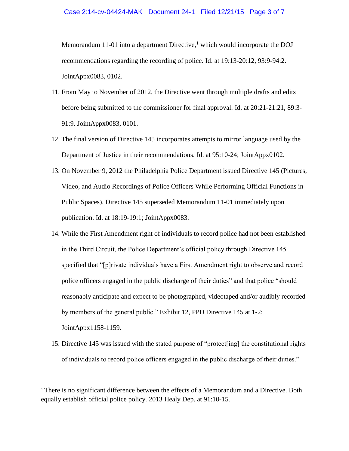#### Case 2:14-cv-04424-MAK Document 24-1 Filed 12/21/15 Page 3 of 7

Memorandum 11-01 into a department Directive,<sup>1</sup> which would incorporate the DOJ recommendations regarding the recording of police. Id. at 19:13-20:12, 93:9-94:2. JointAppx0083, 0102.

- 11. From May to November of 2012, the Directive went through multiple drafts and edits before being submitted to the commissioner for final approval. Id. at 20:21-21:21, 89:3- 91:9. JointAppx0083, 0101.
- 12. The final version of Directive 145 incorporates attempts to mirror language used by the Department of Justice in their recommendations. Id. at 95:10-24; JointAppx0102.
- 13. On November 9, 2012 the Philadelphia Police Department issued Directive 145 (Pictures, Video, and Audio Recordings of Police Officers While Performing Official Functions in Public Spaces). Directive 145 superseded Memorandum 11-01 immediately upon publication. Id. at 18:19-19:1; JointAppx0083.
- 14. While the First Amendment right of individuals to record police had not been established in the Third Circuit, the Police Department's official policy through Directive 145 specified that "[p]rivate individuals have a First Amendment right to observe and record police officers engaged in the public discharge of their duties" and that police "should reasonably anticipate and expect to be photographed, videotaped and/or audibly recorded by members of the general public." Exhibit 12, PPD Directive 145 at 1-2; JointAppx1158-1159.
- 15. Directive 145 was issued with the stated purpose of "protect[ing] the constitutional rights of individuals to record police officers engaged in the public discharge of their duties."

 $\overline{a}$ 

<sup>&</sup>lt;sup>1</sup> There is no significant difference between the effects of a Memorandum and a Directive. Both equally establish official police policy. 2013 Healy Dep. at 91:10-15.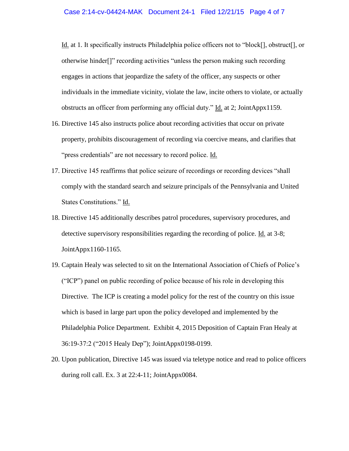Id. at 1. It specifically instructs Philadelphia police officers not to "block[], obstruct[], or otherwise hinder[]" recording activities "unless the person making such recording engages in actions that jeopardize the safety of the officer, any suspects or other individuals in the immediate vicinity, violate the law, incite others to violate, or actually obstructs an officer from performing any official duty." Id. at 2; JointAppx1159.

- 16. Directive 145 also instructs police about recording activities that occur on private property, prohibits discouragement of recording via coercive means, and clarifies that "press credentials" are not necessary to record police. Id.
- 17. Directive 145 reaffirms that police seizure of recordings or recording devices "shall comply with the standard search and seizure principals of the Pennsylvania and United States Constitutions." Id.
- 18. Directive 145 additionally describes patrol procedures, supervisory procedures, and detective supervisory responsibilities regarding the recording of police. Id. at 3-8; JointAppx1160-1165.
- 19. Captain Healy was selected to sit on the International Association of Chiefs of Police's ("ICP") panel on public recording of police because of his role in developing this Directive. The ICP is creating a model policy for the rest of the country on this issue which is based in large part upon the policy developed and implemented by the Philadelphia Police Department. Exhibit 4, 2015 Deposition of Captain Fran Healy at 36:19-37:2 ("2015 Healy Dep"); JointAppx0198-0199.
- 20. Upon publication, Directive 145 was issued via teletype notice and read to police officers during roll call. Ex. 3 at 22:4-11; JointAppx0084.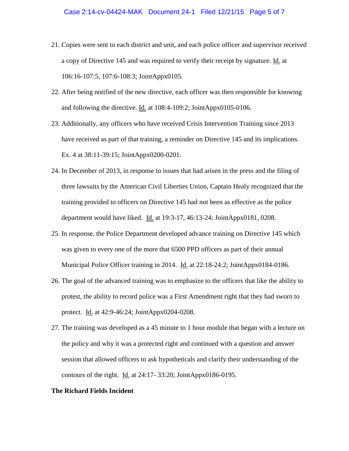- 21. Copies were sent to each district and unit, and each police officer and supervisor received a copy of Directive 145 and was required to verify their receipt by signature. Id. at 106:16-107:5, 107:6-108:3; JointAppx0105.
- 22. After being notified of the new directive, each officer was then responsible for knowing and following the directive. Id. at 108:4-109:2; JointAppx0105-0106.
- 23. Additionally, any officers who have received Crisis Intervention Training since 2013 have received as part of that training, a reminder on Directive 145 and its implications. Ex. 4 at 38:11-39:15; JointAppx0200-0201.
- 24. In December of 2013, in response to issues that had arisen in the press and the filing of three lawsuits by the American Civil Liberties Union, Captain Healy recognized that the training provided to officers on Directive 145 had not been as effective as the police department would have liked. Id. at 19:3-17, 46:13-24; JointAppx0181, 0208.
- 25. In response, the Police Department developed advance training on Directive 145 which was given to every one of the more that 6500 PPD officers as part of their annual Municipal Police Officer training in 2014. Id. at 22:18-24:2; JointAppx0184-0186.
- 26. The goal of the advanced training was to emphasize to the officers that like the ability to protest, the ability to record police was a First Amendment right that they had sworn to protect. Id. at 42:9-46:24; JointAppx0204-0208.
- 27. The training was developed as a 45 minute to 1 hour module that began with a lecture on the policy and why it was a protected right and continued with a question and answer session that allowed officers to ask hypotheticals and clarify their understanding of the contours of the right. Id. at 24:17- 33:20; JointAppx0186-0195.

#### **The Richard Fields Incident**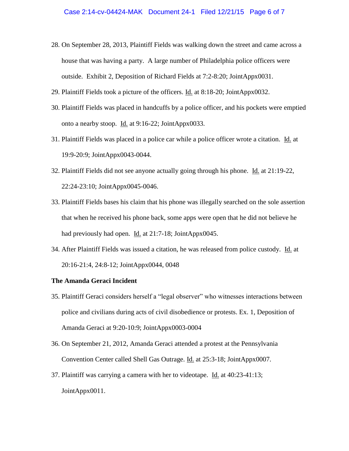- 28. On September 28, 2013, Plaintiff Fields was walking down the street and came across a house that was having a party. A large number of Philadelphia police officers were outside. Exhibit 2, Deposition of Richard Fields at 7:2-8:20; JointAppx0031.
- 29. Plaintiff Fields took a picture of the officers. Id. at 8:18-20; JointAppx0032.
- 30. Plaintiff Fields was placed in handcuffs by a police officer, and his pockets were emptied onto a nearby stoop. Id. at 9:16-22; JointAppx0033.
- 31. Plaintiff Fields was placed in a police car while a police officer wrote a citation. Id. at 19:9-20:9; JointAppx0043-0044.
- 32. Plaintiff Fields did not see anyone actually going through his phone. Id. at 21:19-22, 22:24-23:10; JointAppx0045-0046.
- 33. Plaintiff Fields bases his claim that his phone was illegally searched on the sole assertion that when he received his phone back, some apps were open that he did not believe he had previously had open. Id. at 21:7-18; JointAppx0045.
- 34. After Plaintiff Fields was issued a citation, he was released from police custody. Id. at 20:16-21:4, 24:8-12; JointAppx0044, 0048

#### **The Amanda Geraci Incident**

- 35. Plaintiff Geraci considers herself a "legal observer" who witnesses interactions between police and civilians during acts of civil disobedience or protests. Ex. 1, Deposition of Amanda Geraci at 9:20-10:9; JointAppx0003-0004
- 36. On September 21, 2012, Amanda Geraci attended a protest at the Pennsylvania Convention Center called Shell Gas Outrage. **Id.** at 25:3-18; JointAppx0007.
- 37. Plaintiff was carrying a camera with her to videotape. Id. at 40:23-41:13; JointAppx0011.